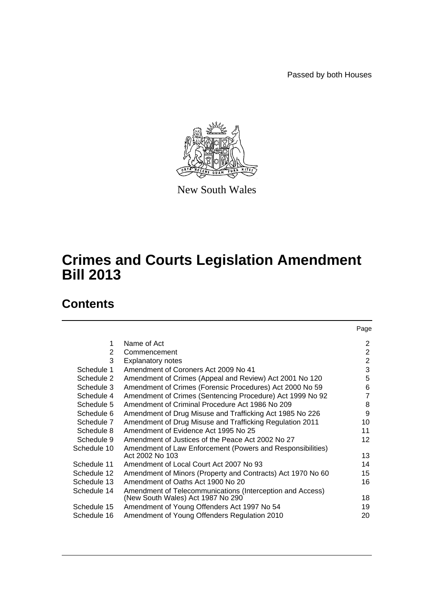Passed by both Houses



New South Wales

# **Crimes and Courts Legislation Amendment Bill 2013**

# **Contents**

|             |                                                                               | Page            |
|-------------|-------------------------------------------------------------------------------|-----------------|
| 1           | Name of Act                                                                   | 2               |
| 2           | Commencement                                                                  | $\overline{2}$  |
| 3           | <b>Explanatory notes</b>                                                      | 2               |
| Schedule 1  | Amendment of Coroners Act 2009 No 41                                          | 3               |
| Schedule 2  | Amendment of Crimes (Appeal and Review) Act 2001 No 120                       | 5               |
| Schedule 3  | Amendment of Crimes (Forensic Procedures) Act 2000 No 59                      | 6               |
| Schedule 4  | Amendment of Crimes (Sentencing Procedure) Act 1999 No 92                     | $\overline{7}$  |
| Schedule 5  | Amendment of Criminal Procedure Act 1986 No 209                               | 8               |
| Schedule 6  | Amendment of Drug Misuse and Trafficking Act 1985 No 226                      | 9               |
| Schedule 7  | Amendment of Drug Misuse and Trafficking Regulation 2011                      | 10              |
| Schedule 8  | Amendment of Evidence Act 1995 No 25                                          | 11              |
| Schedule 9  | Amendment of Justices of the Peace Act 2002 No 27                             | 12 <sup>2</sup> |
| Schedule 10 | Amendment of Law Enforcement (Powers and Responsibilities)<br>Act 2002 No 103 | 13              |
| Schedule 11 | Amendment of Local Court Act 2007 No 93                                       | 14              |
| Schedule 12 | Amendment of Minors (Property and Contracts) Act 1970 No 60                   | 15              |
| Schedule 13 | Amendment of Oaths Act 1900 No 20                                             | 16              |
| Schedule 14 | Amendment of Telecommunications (Interception and Access)                     |                 |
|             | (New South Wales) Act 1987 No 290                                             | 18              |
| Schedule 15 | Amendment of Young Offenders Act 1997 No 54                                   | 19              |
| Schedule 16 | Amendment of Young Offenders Regulation 2010                                  | 20              |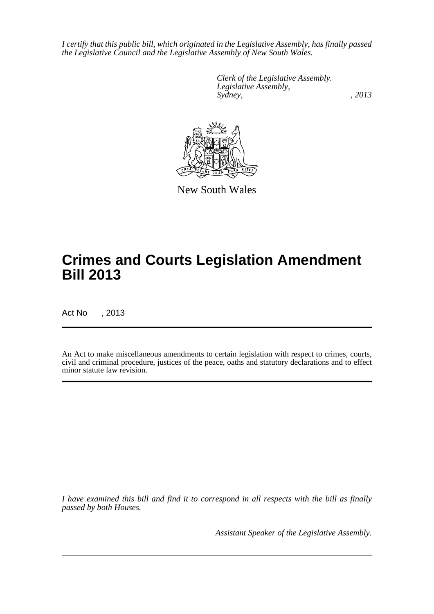*I certify that this public bill, which originated in the Legislative Assembly, has finally passed the Legislative Council and the Legislative Assembly of New South Wales.*

> *Clerk of the Legislative Assembly. Legislative Assembly, Sydney, , 2013*



New South Wales

# **Crimes and Courts Legislation Amendment Bill 2013**

Act No , 2013

An Act to make miscellaneous amendments to certain legislation with respect to crimes, courts, civil and criminal procedure, justices of the peace, oaths and statutory declarations and to effect minor statute law revision.

*I have examined this bill and find it to correspond in all respects with the bill as finally passed by both Houses.*

*Assistant Speaker of the Legislative Assembly.*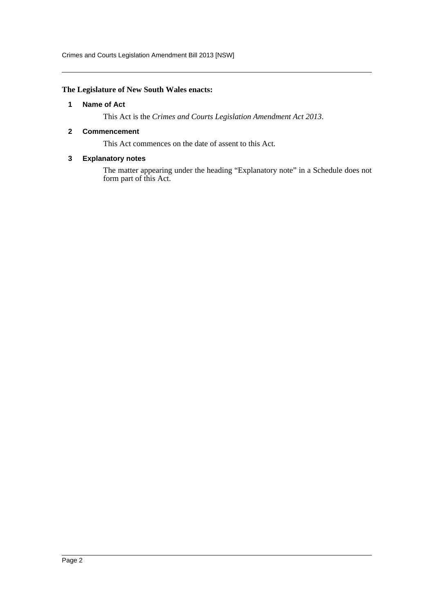Crimes and Courts Legislation Amendment Bill 2013 [NSW]

### <span id="page-2-0"></span>**The Legislature of New South Wales enacts:**

### **1 Name of Act**

This Act is the *Crimes and Courts Legislation Amendment Act 2013*.

## <span id="page-2-1"></span>**2 Commencement**

This Act commences on the date of assent to this Act.

## <span id="page-2-2"></span>**3 Explanatory notes**

The matter appearing under the heading "Explanatory note" in a Schedule does not form part of this Act.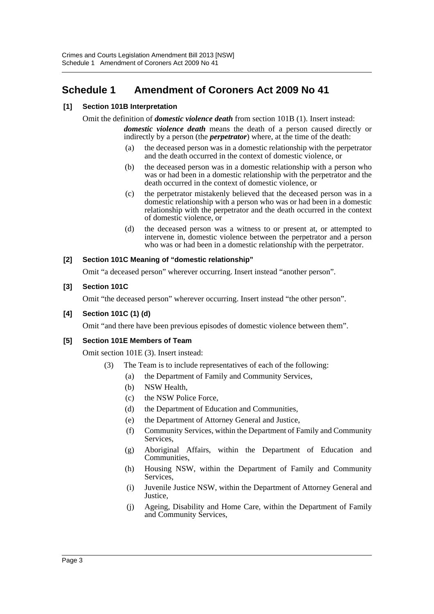# <span id="page-3-0"></span>**Schedule 1 Amendment of Coroners Act 2009 No 41**

# **[1] Section 101B Interpretation**

Omit the definition of *domestic violence death* from section 101B (1). Insert instead:

*domestic violence death* means the death of a person caused directly or indirectly by a person (the *perpetrator*) where, at the time of the death:

- (a) the deceased person was in a domestic relationship with the perpetrator and the death occurred in the context of domestic violence, or
- (b) the deceased person was in a domestic relationship with a person who was or had been in a domestic relationship with the perpetrator and the death occurred in the context of domestic violence, or
- (c) the perpetrator mistakenly believed that the deceased person was in a domestic relationship with a person who was or had been in a domestic relationship with the perpetrator and the death occurred in the context of domestic violence, or
- (d) the deceased person was a witness to or present at, or attempted to intervene in, domestic violence between the perpetrator and a person who was or had been in a domestic relationship with the perpetrator.

## **[2] Section 101C Meaning of "domestic relationship"**

Omit "a deceased person" wherever occurring. Insert instead "another person".

## **[3] Section 101C**

Omit "the deceased person" wherever occurring. Insert instead "the other person".

### **[4] Section 101C (1) (d)**

Omit "and there have been previous episodes of domestic violence between them".

### **[5] Section 101E Members of Team**

Omit section 101E (3). Insert instead:

- (3) The Team is to include representatives of each of the following:
	- (a) the Department of Family and Community Services,
	- (b) NSW Health,
	- (c) the NSW Police Force,
	- (d) the Department of Education and Communities,
	- (e) the Department of Attorney General and Justice,
	- (f) Community Services, within the Department of Family and Community Services,
	- (g) Aboriginal Affairs, within the Department of Education and Communities,
	- (h) Housing NSW, within the Department of Family and Community Services,
	- (i) Juvenile Justice NSW, within the Department of Attorney General and Justice,
	- (j) Ageing, Disability and Home Care, within the Department of Family and Community Services,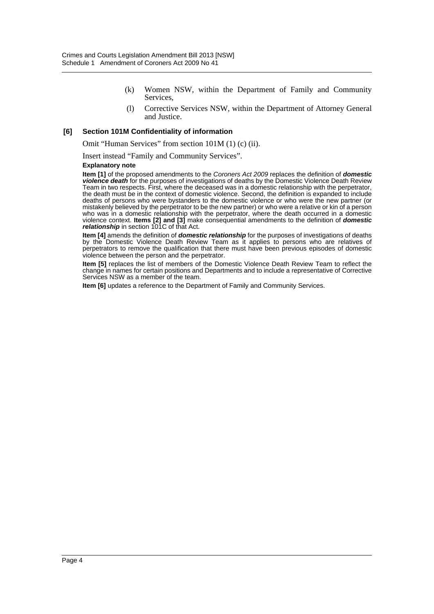- (k) Women NSW, within the Department of Family and Community Services,
- (l) Corrective Services NSW, within the Department of Attorney General and Justice.

#### **[6] Section 101M Confidentiality of information**

Omit "Human Services" from section 101M (1) (c) (ii).

Insert instead "Family and Community Services".

#### **Explanatory note**

**Item [1]** of the proposed amendments to the *Coroners Act 2009* replaces the definition of *domestic violence death* for the purposes of investigations of deaths by the Domestic Violence Death Review Team in two respects. First, where the deceased was in a domestic relationship with the perpetrator, the death must be in the context of domestic violence. Second, the definition is expanded to include deaths of persons who were bystanders to the domestic violence or who were the new partner (or mistakenly believed by the perpetrator to be the new partner) or who were a relative or kin of a person who was in a domestic relationship with the perpetrator, where the death occurred in a domestic violence context. **Items [2] and [3]** make consequential amendments to the definition of *domestic relationship* in section 101C of that Act.

**Item [4]** amends the definition of *domestic relationship* for the purposes of investigations of deaths by the Domestic Violence Death Review Team as it applies to persons who are relatives of perpetrators to remove the qualification that there must have been previous episodes of domestic violence between the person and the perpetrator.

**Item [5]** replaces the list of members of the Domestic Violence Death Review Team to reflect the change in names for certain positions and Departments and to include a representative of Corrective Services NSW as a member of the team.

**Item [6]** updates a reference to the Department of Family and Community Services.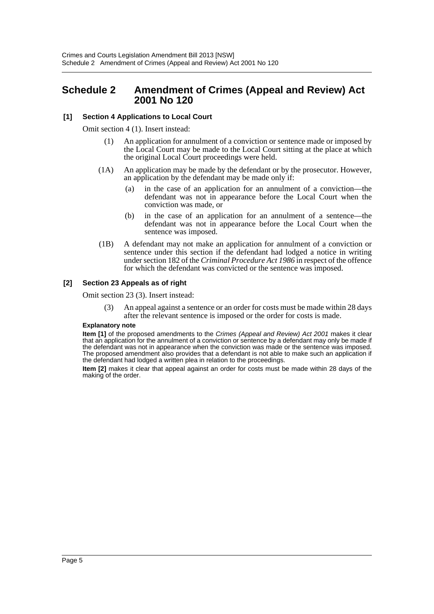# <span id="page-5-0"></span>**Schedule 2 Amendment of Crimes (Appeal and Review) Act 2001 No 120**

# **[1] Section 4 Applications to Local Court**

Omit section 4 (1). Insert instead:

- (1) An application for annulment of a conviction or sentence made or imposed by the Local Court may be made to the Local Court sitting at the place at which the original Local Court proceedings were held.
- (1A) An application may be made by the defendant or by the prosecutor. However, an application by the defendant may be made only if:
	- (a) in the case of an application for an annulment of a conviction—the defendant was not in appearance before the Local Court when the conviction was made, or
	- (b) in the case of an application for an annulment of a sentence—the defendant was not in appearance before the Local Court when the sentence was imposed.
- (1B) A defendant may not make an application for annulment of a conviction or sentence under this section if the defendant had lodged a notice in writing under section 182 of the *Criminal Procedure Act 1986* in respect of the offence for which the defendant was convicted or the sentence was imposed.

### **[2] Section 23 Appeals as of right**

Omit section 23 (3). Insert instead:

(3) An appeal against a sentence or an order for costs must be made within 28 days after the relevant sentence is imposed or the order for costs is made.

#### **Explanatory note**

**Item [1]** of the proposed amendments to the *Crimes (Appeal and Review) Act 2001* makes it clear that an application for the annulment of a conviction or sentence by a defendant may only be made if the defendant was not in appearance when the conviction was made or the sentence was imposed. The proposed amendment also provides that a defendant is not able to make such an application if the defendant had lodged a written plea in relation to the proceedings.

**Item [2]** makes it clear that appeal against an order for costs must be made within 28 days of the making of the order.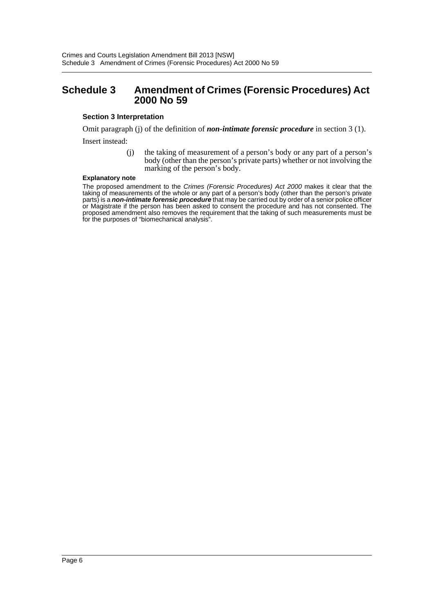# <span id="page-6-0"></span>**Schedule 3 Amendment of Crimes (Forensic Procedures) Act 2000 No 59**

### **Section 3 Interpretation**

Omit paragraph (j) of the definition of *non-intimate forensic procedure* in section 3 (1). Insert instead:

> (j) the taking of measurement of a person's body or any part of a person's body (other than the person's private parts) whether or not involving the marking of the person's body.

#### **Explanatory note**

The proposed amendment to the *Crimes (Forensic Procedures) Act 2000* makes it clear that the taking of measurements of the whole or any part of a person's body (other than the person's private parts) is a *non-intimate forensic procedure* that may be carried out by order of a senior police officer or Magistrate if the person has been asked to consent the procedure and has not consented. The proposed amendment also removes the requirement that the taking of such measurements must be for the purposes of "biomechanical analysis".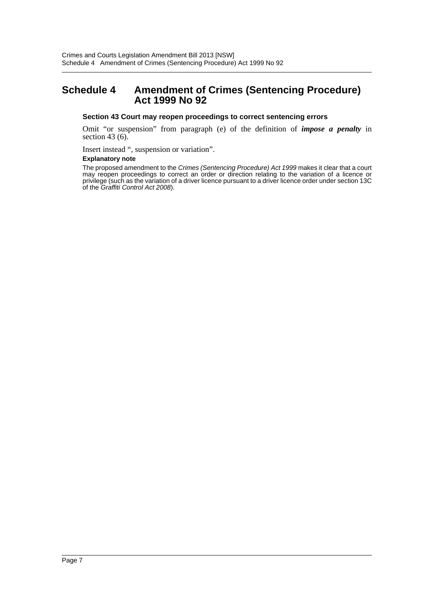# <span id="page-7-0"></span>**Schedule 4 Amendment of Crimes (Sentencing Procedure) Act 1999 No 92**

#### **Section 43 Court may reopen proceedings to correct sentencing errors**

Omit "or suspension" from paragraph (e) of the definition of *impose a penalty* in section 43 $(6)$ .

Insert instead ", suspension or variation".

#### **Explanatory note**

The proposed amendment to the *Crimes (Sentencing Procedure) Act 1999* makes it clear that a court may reopen proceedings to correct an order or direction relating to the variation of a licence or privilege (such as the variation of a driver licence pursuant to a driver licence order under section 13C of the *Graffiti Control Act 2008*).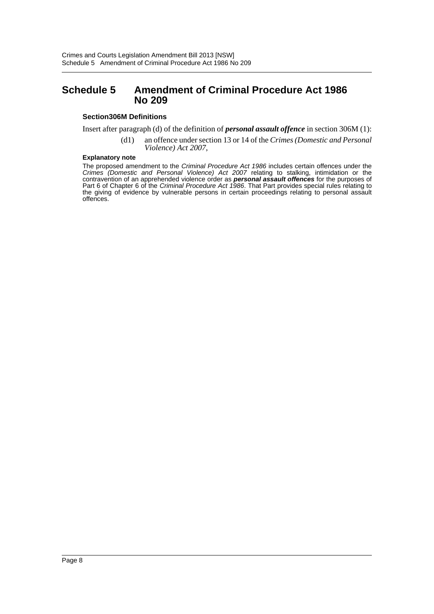# <span id="page-8-0"></span>**Schedule 5 Amendment of Criminal Procedure Act 1986 No 209**

#### **Section306M Definitions**

Insert after paragraph (d) of the definition of *personal assault offence* in section 306M (1):

(d1) an offence under section 13 or 14 of the *Crimes (Domestic and Personal Violence) Act 2007*,

#### **Explanatory note**

The proposed amendment to the *Criminal Procedure Act 1986* includes certain offences under the *Crimes (Domestic and Personal Violence) Act 2007* relating to stalking, intimidation or the contravention of an apprehended violence order as *personal assault offences* for the purposes of Part 6 of Chapter 6 of the *Criminal Procedure Act 1986*. That Part provides special rules relating to the giving of evidence by vulnerable persons in certain proceedings relating to personal assault offences.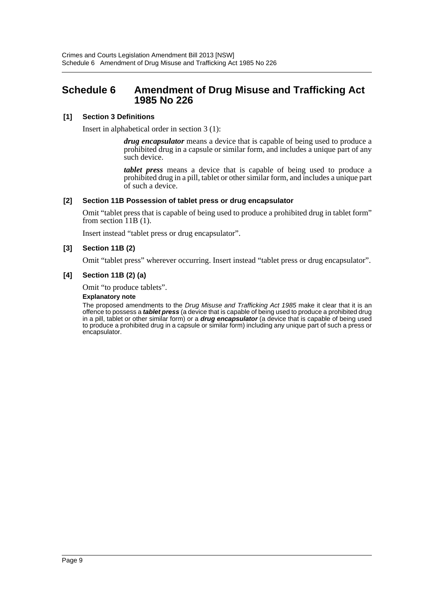# <span id="page-9-0"></span>**Schedule 6 Amendment of Drug Misuse and Trafficking Act 1985 No 226**

## **[1] Section 3 Definitions**

Insert in alphabetical order in section 3 (1):

*drug encapsulator* means a device that is capable of being used to produce a prohibited drug in a capsule or similar form, and includes a unique part of any such device.

*tablet press* means a device that is capable of being used to produce a prohibited drug in a pill, tablet or other similar form, and includes a unique part of such a device.

## **[2] Section 11B Possession of tablet press or drug encapsulator**

Omit "tablet press that is capable of being used to produce a prohibited drug in tablet form" from section  $11B(1)$ .

Insert instead "tablet press or drug encapsulator".

## **[3] Section 11B (2)**

Omit "tablet press" wherever occurring. Insert instead "tablet press or drug encapsulator".

### **[4] Section 11B (2) (a)**

Omit "to produce tablets".

#### **Explanatory note**

The proposed amendments to the *Drug Misuse and Trafficking Act 1985* make it clear that it is an offence to possess a *tablet press* (a device that is capable of being used to produce a prohibited drug in a pill, tablet or other similar form) or a *drug encapsulator* (a device that is capable of being used to produce a prohibited drug in a capsule or similar form) including any unique part of such a press or encapsulator.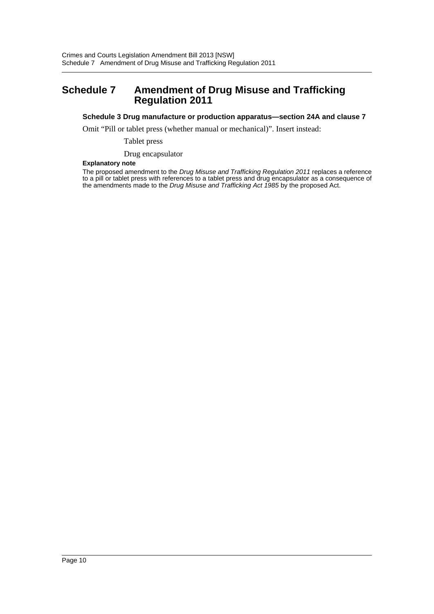# <span id="page-10-0"></span>**Schedule 7 Amendment of Drug Misuse and Trafficking Regulation 2011**

#### **Schedule 3 Drug manufacture or production apparatus—section 24A and clause 7**

Omit "Pill or tablet press (whether manual or mechanical)". Insert instead:

Tablet press

Drug encapsulator

#### **Explanatory note**

The proposed amendment to the *Drug Misuse and Trafficking Regulation 2011* replaces a reference to a pill or tablet press with references to a tablet press and drug encapsulator as a consequence of the amendments made to the *Drug Misuse and Trafficking Act 1985* by the proposed Act.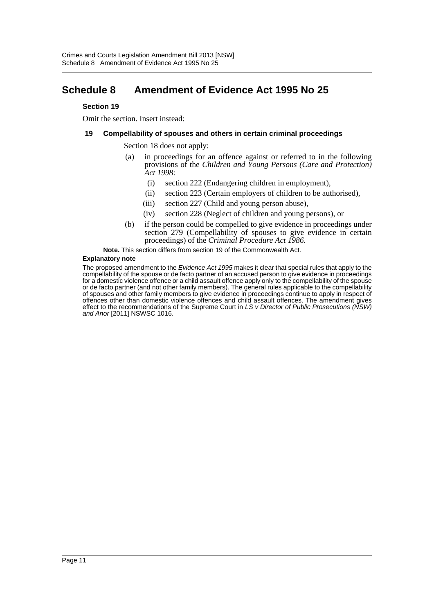# <span id="page-11-0"></span>**Schedule 8 Amendment of Evidence Act 1995 No 25**

#### **Section 19**

Omit the section. Insert instead:

#### **19 Compellability of spouses and others in certain criminal proceedings**

Section 18 does not apply:

- (a) in proceedings for an offence against or referred to in the following provisions of the *Children and Young Persons (Care and Protection) Act 1998*:
	- (i) section 222 (Endangering children in employment),
	- (ii) section 223 (Certain employers of children to be authorised),
	- (iii) section 227 (Child and young person abuse),
	- (iv) section 228 (Neglect of children and young persons), or
- (b) if the person could be compelled to give evidence in proceedings under section 279 (Compellability of spouses to give evidence in certain proceedings) of the *Criminal Procedure Act 1986*.

**Note.** This section differs from section 19 of the Commonwealth Act.

#### **Explanatory note**

The proposed amendment to the *Evidence Act 1995* makes it clear that special rules that apply to the compellability of the spouse or de facto partner of an accused person to give evidence in proceedings for a domestic violence offence or a child assault offence apply only to the compellability of the spouse or de facto partner (and not other family members). The general rules applicable to the compellability of spouses and other family members to give evidence in proceedings continue to apply in respect of offences other than domestic violence offences and child assault offences. The amendment gives effect to the recommendations of the Supreme Court in *LS v Director of Public Prosecutions (NSW) and Anor* [2011] NSWSC 1016.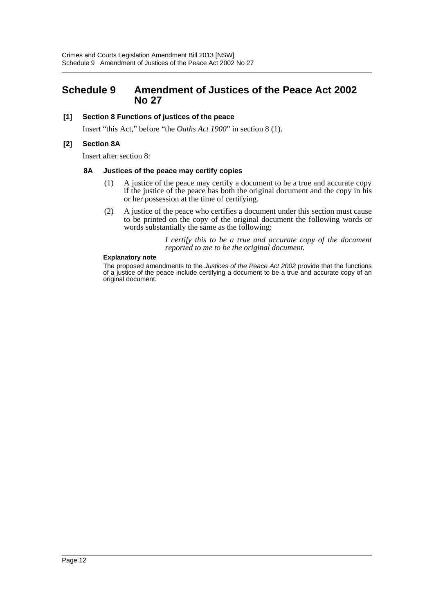# <span id="page-12-0"></span>**Schedule 9 Amendment of Justices of the Peace Act 2002 No 27**

### **[1] Section 8 Functions of justices of the peace**

Insert "this Act," before "the *Oaths Act 1900*" in section 8 (1).

### **[2] Section 8A**

Insert after section 8:

#### **8A Justices of the peace may certify copies**

- (1) A justice of the peace may certify a document to be a true and accurate copy if the justice of the peace has both the original document and the copy in his or her possession at the time of certifying.
- (2) A justice of the peace who certifies a document under this section must cause to be printed on the copy of the original document the following words or words substantially the same as the following:

*I certify this to be a true and accurate copy of the document reported to me to be the original document.*

#### **Explanatory note**

The proposed amendments to the *Justices of the Peace Act 2002* provide that the functions of a justice of the peace include certifying a document to be a true and accurate copy of an original document.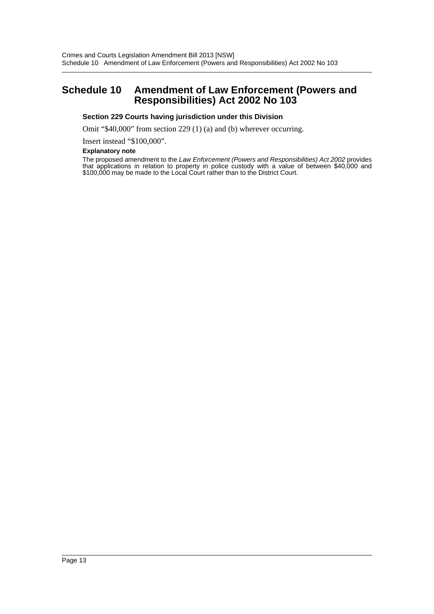# <span id="page-13-0"></span>**Schedule 10 Amendment of Law Enforcement (Powers and Responsibilities) Act 2002 No 103**

#### **Section 229 Courts having jurisdiction under this Division**

Omit "\$40,000" from section 229 (1) (a) and (b) wherever occurring.

Insert instead "\$100,000".

#### **Explanatory note**

The proposed amendment to the *Law Enforcement (Powers and Responsibilities) Act 2002* provides that applications in relation to property in police custody with a value of between \$40,000 and \$100,000 may be made to the Local Court rather than to the District Court.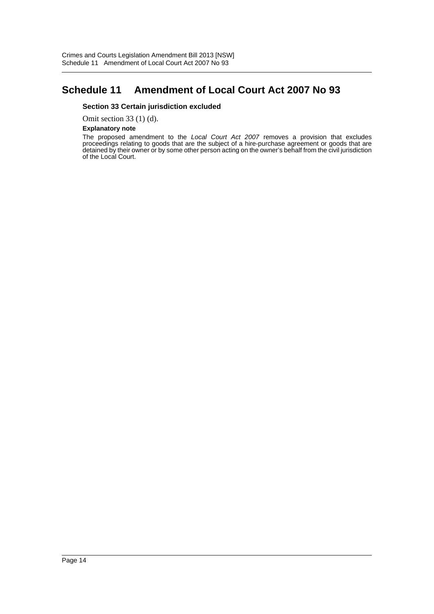# <span id="page-14-0"></span>**Schedule 11 Amendment of Local Court Act 2007 No 93**

#### **Section 33 Certain jurisdiction excluded**

Omit section 33 (1) (d).

#### **Explanatory note**

The proposed amendment to the *Local Court Act 2007* removes a provision that excludes proceedings relating to goods that are the subject of a hire-purchase agreement or goods that are detained by their owner or by some other person acting on the owner's behalf from the civil jurisdiction of the Local Court.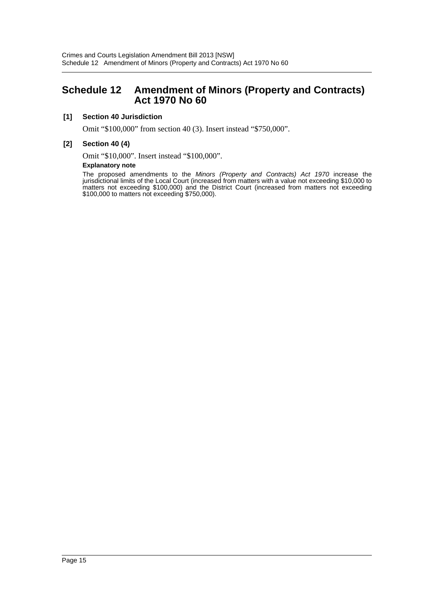# <span id="page-15-0"></span>**Schedule 12 Amendment of Minors (Property and Contracts) Act 1970 No 60**

## **[1] Section 40 Jurisdiction**

Omit "\$100,000" from section 40 (3). Insert instead "\$750,000".

### **[2] Section 40 (4)**

Omit "\$10,000". Insert instead "\$100,000".

#### **Explanatory note**

The proposed amendments to the *Minors (Property and Contracts) Act 1970* increase the jurisdictional limits of the Local Court (increased from matters with a value not exceeding \$10,000 to matters not exceeding \$100,000) and the District Court (increased from matters not exceeding \$100,000 to matters not exceeding \$750,000).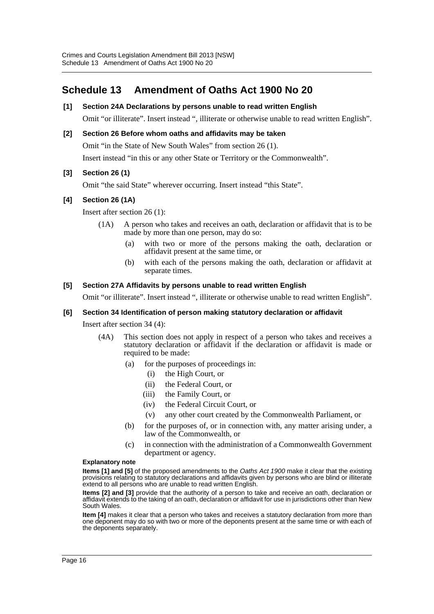# <span id="page-16-0"></span>**Schedule 13 Amendment of Oaths Act 1900 No 20**

# **[1] Section 24A Declarations by persons unable to read written English**

Omit "or illiterate". Insert instead ", illiterate or otherwise unable to read written English".

### **[2] Section 26 Before whom oaths and affidavits may be taken**

Omit "in the State of New South Wales" from section 26 (1).

Insert instead "in this or any other State or Territory or the Commonwealth".

### **[3] Section 26 (1)**

Omit "the said State" wherever occurring. Insert instead "this State".

### **[4] Section 26 (1A)**

Insert after section 26 (1):

- (1A) A person who takes and receives an oath, declaration or affidavit that is to be made by more than one person, may do so:
	- (a) with two or more of the persons making the oath, declaration or affidavit present at the same time, or
	- (b) with each of the persons making the oath, declaration or affidavit at separate times.

#### **[5] Section 27A Affidavits by persons unable to read written English**

Omit "or illiterate". Insert instead ", illiterate or otherwise unable to read written English".

#### **[6] Section 34 Identification of person making statutory declaration or affidavit**

Insert after section 34 (4):

- (4A) This section does not apply in respect of a person who takes and receives a statutory declaration or affidavit if the declaration or affidavit is made or required to be made:
	- (a) for the purposes of proceedings in:
		- (i) the High Court, or
		- (ii) the Federal Court, or
		- (iii) the Family Court, or
		- (iv) the Federal Circuit Court, or
		- (v) any other court created by the Commonwealth Parliament, or
	- (b) for the purposes of, or in connection with, any matter arising under, a law of the Commonwealth, or
	- (c) in connection with the administration of a Commonwealth Government department or agency.

#### **Explanatory note**

**Items [1] and [5]** of the proposed amendments to the *Oaths Act 1900* make it clear that the existing provisions relating to statutory declarations and affidavits given by persons who are blind or illiterate extend to all persons who are unable to read written English.

**Items [2] and [3]** provide that the authority of a person to take and receive an oath, declaration or affidavit extends to the taking of an oath, declaration or affidavit for use in jurisdictions other than New South Wales.

**Item [4]** makes it clear that a person who takes and receives a statutory declaration from more than one deponent may do so with two or more of the deponents present at the same time or with each of the deponents separately.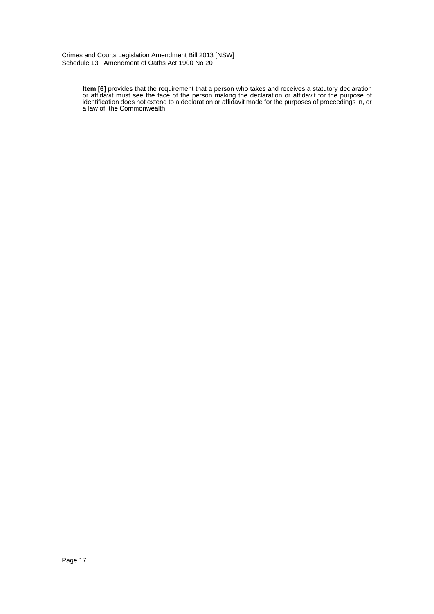**Item [6]** provides that the requirement that a person who takes and receives a statutory declaration or affidavit must see the face of the person making the declaration or affidavit for the purpose of identification does not extend to a declaration or affidavit made for the purposes of proceedings in, or a law of, the Commonwealth.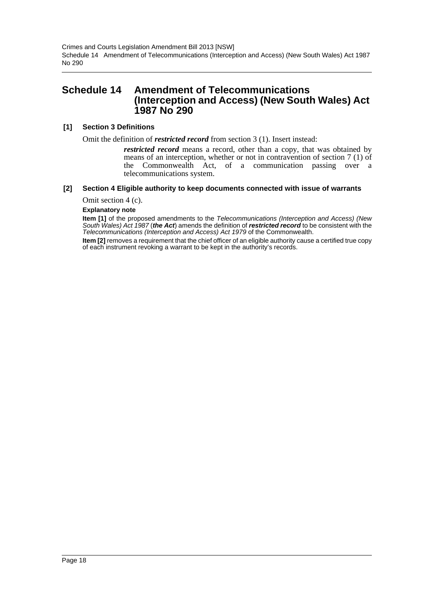Crimes and Courts Legislation Amendment Bill 2013 [NSW] Schedule 14 Amendment of Telecommunications (Interception and Access) (New South Wales) Act 1987 No 290

# <span id="page-18-0"></span>**Schedule 14 Amendment of Telecommunications (Interception and Access) (New South Wales) Act 1987 No 290**

### **[1] Section 3 Definitions**

Omit the definition of *restricted record* from section 3 (1). Insert instead:

*restricted record* means a record, other than a copy, that was obtained by means of an interception, whether or not in contravention of section 7 (1) of the Commonwealth Act, of a communication passing over a telecommunications system.

## **[2] Section 4 Eligible authority to keep documents connected with issue of warrants**

Omit section 4 (c).

**Explanatory note**

**Item [1]** of the proposed amendments to the *Telecommunications (Interception and Access) (New South Wales) Act 1987* (*the Act*) amends the definition of *restricted record* to be consistent with the *Telecommunications (Interception and Access) Act 1979* of the Commonwealth.

**Item [2]** removes a requirement that the chief officer of an eligible authority cause a certified true copy of each instrument revoking a warrant to be kept in the authority's records.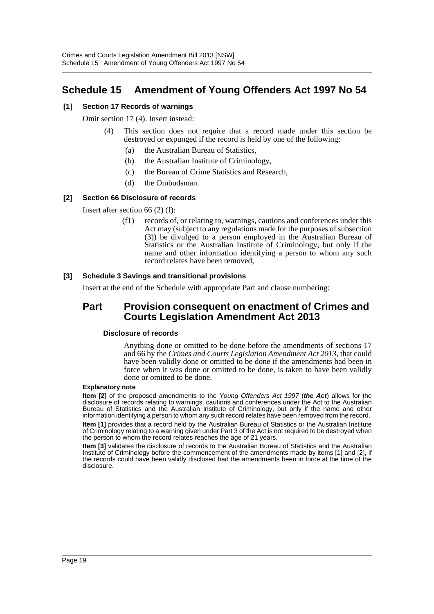# <span id="page-19-0"></span>**Schedule 15 Amendment of Young Offenders Act 1997 No 54**

## **[1] Section 17 Records of warnings**

Omit section 17 (4). Insert instead:

- (4) This section does not require that a record made under this section be destroyed or expunged if the record is held by one of the following:
	- (a) the Australian Bureau of Statistics,
	- (b) the Australian Institute of Criminology,
	- (c) the Bureau of Crime Statistics and Research,
	- (d) the Ombudsman.

## **[2] Section 66 Disclosure of records**

Insert after section 66 (2) (f):

(f1) records of, or relating to, warnings, cautions and conferences under this Act may (subject to any regulations made for the purposes of subsection (3)) be divulged to a person employed in the Australian Bureau of Statistics or the Australian Institute of Criminology, but only if the name and other information identifying a person to whom any such record relates have been removed,

## **[3] Schedule 3 Savings and transitional provisions**

Insert at the end of the Schedule with appropriate Part and clause numbering:

# **Part Provision consequent on enactment of Crimes and Courts Legislation Amendment Act 2013**

#### **Disclosure of records**

Anything done or omitted to be done before the amendments of sections 17 and 66 by the *Crimes and Courts Legislation Amendment Act 2013,* that could have been validly done or omitted to be done if the amendments had been in force when it was done or omitted to be done, is taken to have been validly done or omitted to be done.

#### **Explanatory note**

**Item [2]** of the proposed amendments to the *Young Offenders Act 1997* (*the Act*) allows for the disclosure of records relating to warnings, cautions and conferences under the Act to the Australian Bureau of Statistics and the Australian Institute of Criminology, but only if the name and other information identifying a person to whom any such record relates have been removed from the record.

**Item [1]** provides that a record held by the Australian Bureau of Statistics or the Australian Institute of Criminology relating to a warning given under Part 3 of the Act is not required to be destroyed when the person to whom the record relates reaches the age of 21 years.

**Item [3]** validates the disclosure of records to the Australian Bureau of Statistics and the Australian Institute of Criminology before the commencement of the amendments made by items [1] and [2], if the records could have been validly disclosed had the amendments been in force at the time of the disclosure.